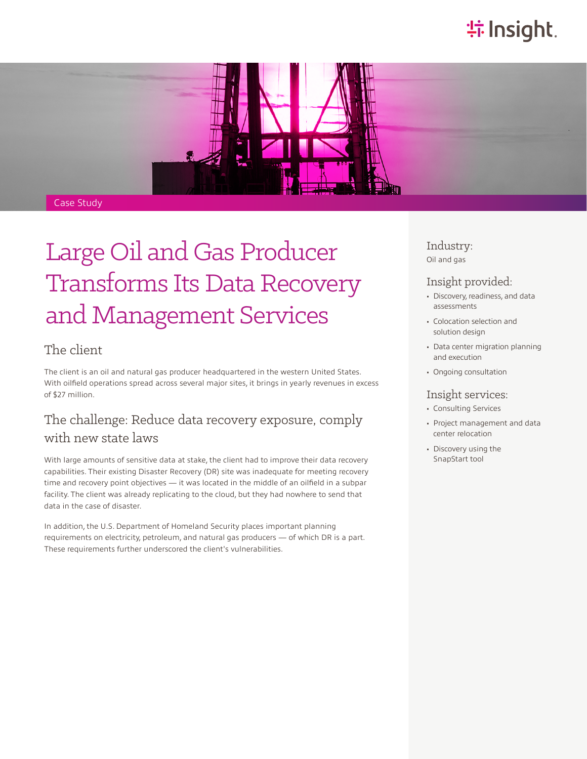# **特Insight**.



#### Case Study

# Large Oil and Gas Producer Transforms Its Data Recovery and Management Services

### The client

The client is an oil and natural gas producer headquartered in the western United States. With oilfield operations spread across several major sites, it brings in yearly revenues in excess of \$27 million.

## The challenge: Reduce data recovery exposure, comply with new state laws

With large amounts of sensitive data at stake, the client had to improve their data recovery capabilities. Their existing Disaster Recovery (DR) site was inadequate for meeting recovery time and recovery point objectives — it was located in the middle of an oilfield in a subpar facility. The client was already replicating to the cloud, but they had nowhere to send that data in the case of disaster.

In addition, the U.S. Department of Homeland Security places important planning requirements on electricity, petroleum, and natural gas producers — of which DR is a part. These requirements further underscored the client's vulnerabilities.

Industry: Oil and gas

#### Insight provided:

- Discovery, readiness, and data assessments
- Colocation selection and solution design
- Data center migration planning and execution
- Ongoing consultation

#### Insight services:

- Consulting Services
- Project management and data center relocation
- Discovery using the SnapStart tool